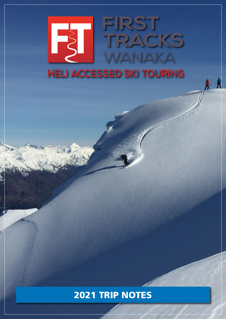# FIRST EST TRACKS WANAKA **HELI ACCESSED SKI TOURING**

### 2021 TRIP NOTES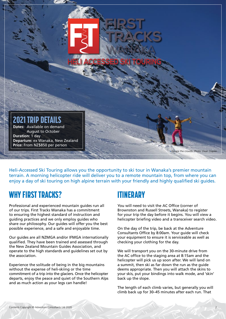

Heli-Accessed Ski Touring allows you the opportunity to ski tour in Wanaka's premier mountain terrain. A morning helicopter ride will deliver you to a remote mountain top, from where you can enjoy a day of ski touring on high alpine terrain with your friendly and highly qualified ski guides.

#### WHY FIRST TRACKS?

Professional and experienced mountain guides run all of our trips. First Tracks Wanaka has a commitment to ensuring the highest standard of instruction and guiding practices and we only employ guides who share our philosophy. Our guides will offer you the best possible experience, and a safe and enjoyable time.

Our guides are all NZMGA and/or IFMGA internationally qualified. They have been trained and assessed through the New Zealand Mountain Guides Association, and operate to the high standards and guidelines set out by the association.

Experience the solitude of being in the big mountains without the expense of heli-skiing or the time commitment of a trip into the glaciers. Once the helicopter departs, enjoy the peace and quiet of the Southern Alps and as much action as your legs can handle!

#### ITINERARY

You will need to visit the AC Office (corner of Brownston and Russell Streets, Wanaka) to register for your trip the day before it begins. You will view a helicopter briefing video and a transceiver search video.

On the day of the trip, be back at the Adventure Consultants Office by 8:00am. Your guide will check your equipment to ensure it is serviceable as well as checking your clothing for the day.

We will transport you on the 30-minute drive from the AC office to the staging area at 8:15am and the helicopter will pick us up soon after. We will land on a summit, then ski as far down the run as the guide deems appropriate. Then you will attach the skins to your skis, put your bindings into walk mode, and 'skin' back up the slope.

The length of each climb varies, but generally you will climb back up for 30–45 minutes after each run. That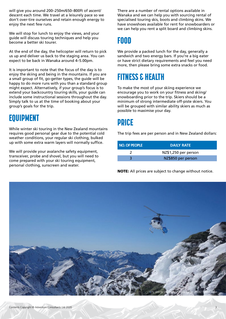will give you around 200–250m/650–800ft of ascent/ descent each time. We travel at a leisurely pace so we don't over-tire ourselves and retain enough energy to enjoy the next few runs.

We will stop for lunch to enjoy the views, and your guide will discuss touring techniques and help you become a better ski tourer.

At the end of the day, the helicopter will return to pick us up and deliver us back to the staging area. You can expect to be back in Wanaka around 4–5.00pm.

It is important to note that the focus of the day is to enjoy the skiing and being in the mountains. If you are a small group of fit, go-getter types, the guide will be happy to do more runs with you than a standard group might expect. Alternatively, if your group's focus is to extend your backcountry touring skills, your guide can include some instructional sessions throughout the day. Simply talk to us at the time of booking about your group's goals for the trip.

#### EQUIPMENT

While winter ski touring in the New Zealand mountains requires good personal gear due to the potential cold weather conditions, your regular ski clothing, bulked up with some extra warm layers will normally suffice.

We will provide your avalanche safety equipment, transceiver, probe and shovel, but you will need to come prepared with your ski touring equipment, personal clothing, sunscreen and water.

There are a number of rental options available in Wanaka and we can help you with sourcing rental of specialised touring skis, boots and climbing skins. We have snowshoes available for rent for snowboarders or we can help you rent a split board and climbing skins.

## FOOD

We provide a packed lunch for the day, generally a sandwich and two energy bars. If you're a big eater or have strict dietary requirements and feel you need more, then please bring some extra snacks or food.

## FITNESS & HEALTH

To make the most of your skiing experience we encourage you to work on your fitness and skiing/ snowboarding prior to the trip. Skiers should be a minimum of strong intermediate off-piste skiers. You will be grouped with similar ability skiers as much as possible to maximise your day.

#### PRICE

The trip fees are per person and in New Zealand dollars:

| NO. OF PEOPLE | <b>DAILY RATE</b>    |  |
|---------------|----------------------|--|
|               | NZ\$1,250 per person |  |
|               | NZ\$850 per person   |  |

NOTE: All prices are subject to change without notice.